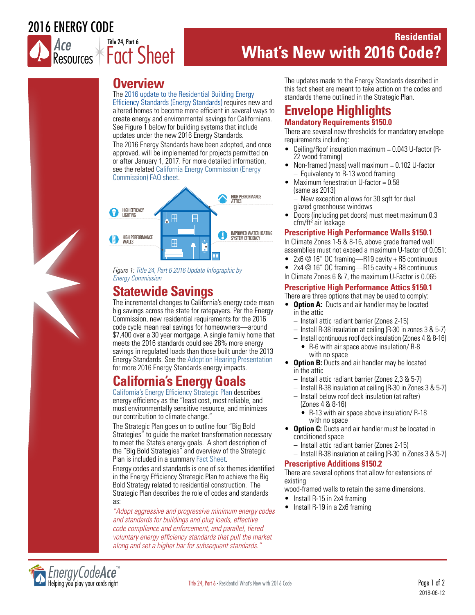# 2016 ENERGY CODE



# **Residential What's New with 2016 Code?**

# **Overview**

Title 24, Part 6

The [2016 update to the Residential Building Energy](http://www.energy.ca.gov/title24/2016standards/index.html)  [Efficiency Standards \(Energy Standards\)](http://www.energy.ca.gov/title24/2016standards/index.html) requires new and altered homes to become more efficient in several ways to create energy and environmental savings for Californians. See Figure 1 below for building systems that include updates under the new 2016 Energy Standards. The 2016 Energy Standards have been adopted, and once approved, will be implemented for projects permitted on or after January 1, 2017. For more detailed information, see the relate[d California Energy Commission \(Energy](http://www.energy.ca.gov/title24/2016standards/rulemaking/documents/2016_Building_Energy_Efficiency_Standards_FAQ.pdf)  [Commission\) FAQ sheet.](http://www.energy.ca.gov/title24/2016standards/rulemaking/documents/2016_Building_Energy_Efficiency_Standards_FAQ.pdf)



*Figure 1: [Title 24, Part 6 2016 Update Infographic by](http://www.energy.ca.gov/title24/2016standards/rulemaking/documents/2016_Building_Energy_Efficiency_Standards_infographic.pdf)  [Energy Commission](http://www.energy.ca.gov/title24/2016standards/rulemaking/documents/2016_Building_Energy_Efficiency_Standards_infographic.pdf)*

# **Statewide Savings**

The incremental changes to California's energy code mean big savings across the state for ratepayers. Per the Energy Commission, new residential requirements for the 2016 code cycle mean real savings for homeowners—around \$7,400 over a 30 year mortgage. A single family home that meets the 2016 standards could see 28% more energy savings in regulated loads than those built under the 2013 Energy Standards. See the [Adoption Hearing Presentation](http://www.energy.ca.gov/title24/2016standards/rulemaking/documents/2015-06-10_hearing/2015-06-10_Adoption_Hearing_Presentation.pdf) for more 2016 Energy Standards energy impacts.

# **California's Energy Goals**

[California's Energy Efficiency Strategic Plan d](http://www.cpuc.ca.gov/uploadedfiles/cpuc_public_website/content/utilities_and_industries/energy/energy_programs/demand_side_management/ee_and_energy_savings_assist/cs_actionplan_20140219.pdf)escribes energy efficiency as the "least cost, most reliable, and most environmentally sensitive resource, and minimizes our contribution to climate change."

The Strategic Plan goes on to outline four "Big Bold Strategies" to guide the market transformation necessary to meet the State's energy goals. A short description of the "Big Bold Strategies" and overview of the Strategic Plan is included in a summary [Fact Sheet.](http://www.cpuc.ca.gov/workarea/downloadasset.aspx?id=5416)

Energy codes and standards is one of six themes identified in the Energy Efficiency Strategic Plan to achieve the Big Bold Strategy related to residential construction. The Strategic Plan describes the role of codes and standards as:

*"Adopt aggressive and progressive minimum energy codes and standards for buildings and plug loads, effective code compliance and enforcement, and parallel, tiered voluntary energy efficiency standards that pull the market along and set a higher bar for subsequent standards."*

The updates made to the Energy Standards described in this fact sheet are meant to take action on the codes and standards theme outlined in the Strategic Plan.

# **Envelope Highlights Mandatory Requirements §150.0**

There are several new thresholds for mandatory envelope requirements including:

- Ceiling/Roof insulation maximum = 0.043 U-factor (R-22 wood framing)
- Non-framed (mass) wall maximum = 0.102 U-factor – Equivalency to R-13 wood framing
- Maximum fenestration U-factor = 0.58 (same as 2013) – New exception allows for 30 sqft for dual
	- glazed greenhouse windows
- Doors (including pet doors) must meet maximum 0.3 cfm/ft² air leakage

### **Prescriptive High Performance Walls §150.1**

In Climate Zones 1-5 & 8-16, above grade framed wall assemblies must not exceed a maximum U-factor of 0.051:

- 2x6 @ 16" OC framing—R19 cavity + R5 continuous
- 2x4 @ 16" OC framing—R15 cavity + R8 continuous
- In Climate Zones 6 & 7, the maximum U-Factor is 0.065

### **Prescriptive High Performance Attics §150.1**

There are three options that may be used to comply:

- **Option A:** Ducts and air handler may be located in the attic
	- Install attic radiant barrier (Zones 2-15)
	- Install R-38 insulation at ceiling (R-30 in zones 3 & 5-7)
	- Install continuous roof deck insulation (Zones 4 & 8-16)
		- R-6 with air space above insulation/ R-8 with no space
- **Option B:** Ducts and air handler may be located in the attic
	- Install attic radiant barrier (Zones 2,3 & 5-7)
	- Install R-38 insulation at ceiling (R-30 in Zones 3 & 5-7)
	- Install below roof deck insulation (at rafter) (Zones 4 & 8-16)
		- R-13 with air space above insulation/ R-18 with no space
- **Option C:** Ducts and air handler must be located in conditioned space
	- Install attic radiant barrier (Zones 2-15)
	- Install R-38 insulation at ceiling (R-30 in Zones 3 & 5-7)

#### **Prescriptive Additions §150.2**

There are several options that allow for extensions of existing

wood-framed walls to retain the same dimensions.

- Install R-15 in 2x4 framing
- Install R-19 in a 2x6 framing